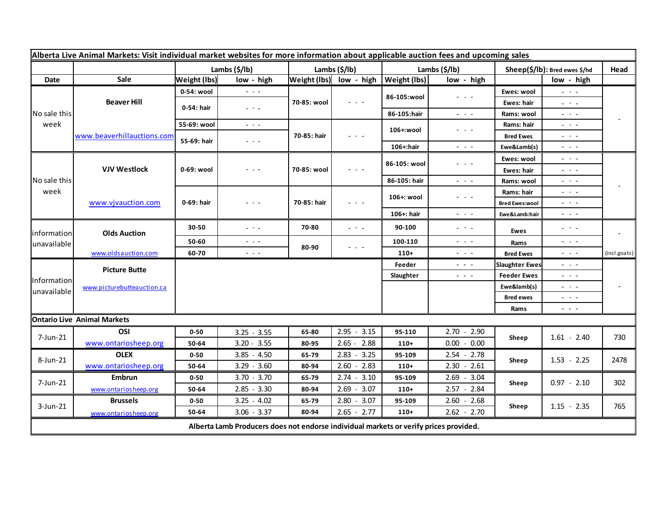| Alberta Live Animal Markets: Visit individual market websites for more information about applicable auction fees and upcoming sales |                                    |                     |                                                                                             |               |                                      |               |                                                                                                                           |                               |                                                                                                                                                                                                                                                                                                                                                                                                                                                |                          |
|-------------------------------------------------------------------------------------------------------------------------------------|------------------------------------|---------------------|---------------------------------------------------------------------------------------------|---------------|--------------------------------------|---------------|---------------------------------------------------------------------------------------------------------------------------|-------------------------------|------------------------------------------------------------------------------------------------------------------------------------------------------------------------------------------------------------------------------------------------------------------------------------------------------------------------------------------------------------------------------------------------------------------------------------------------|--------------------------|
|                                                                                                                                     |                                    |                     | Lambs (\$/lb)                                                                               | Lambs (\$/lb) |                                      | Lambs (\$/lb) |                                                                                                                           | Sheep(\$/lb): Bred ewes \$/hd |                                                                                                                                                                                                                                                                                                                                                                                                                                                | Head                     |
| Date                                                                                                                                | Sale                               | <b>Weight (lbs)</b> | low - high                                                                                  |               | Weight (Ibs) low - high Weight (Ibs) |               | low - high                                                                                                                |                               | low - high                                                                                                                                                                                                                                                                                                                                                                                                                                     |                          |
| No sale this<br>week                                                                                                                | <b>Beaver Hill</b>                 | 0-54: wool          | $\sim$ $\sim$ $\sim$                                                                        | 70-85: wool   | $  -$                                | 86-105:wool   | - - -                                                                                                                     | Ewes: wool                    | $\omega_{\rm{c}}$ , $\omega_{\rm{c}}$ , $\omega_{\rm{c}}$                                                                                                                                                                                                                                                                                                                                                                                      |                          |
|                                                                                                                                     |                                    | 0-54: hair          | $  -$                                                                                       |               |                                      |               |                                                                                                                           | Ewes: hair                    | 20 A G                                                                                                                                                                                                                                                                                                                                                                                                                                         |                          |
|                                                                                                                                     |                                    |                     |                                                                                             |               |                                      | 86-105:hair   | $\frac{1}{2} \left( \frac{1}{2} \right) \frac{1}{2} \left( \frac{1}{2} \right) \frac{1}{2} \left( \frac{1}{2} \right)$    | Rams: wool                    | 20 A G                                                                                                                                                                                                                                                                                                                                                                                                                                         |                          |
|                                                                                                                                     | www.beaverhillauctions.com         | 55-69: wool         | $\omega_{\rm c}$ , $\omega_{\rm c}$                                                         | 70-85: hair   | - - -                                | 106+:wool     | - - -                                                                                                                     | Rams: hair                    | $  -$                                                                                                                                                                                                                                                                                                                                                                                                                                          |                          |
|                                                                                                                                     |                                    | 55-69: hair         | $  -$                                                                                       |               |                                      |               |                                                                                                                           | <b>Bred Ewes</b>              | $  -$                                                                                                                                                                                                                                                                                                                                                                                                                                          |                          |
|                                                                                                                                     |                                    |                     |                                                                                             |               |                                      | 106+:hair     | $ -$                                                                                                                      | Ewe&Lamb(s)                   | - - -                                                                                                                                                                                                                                                                                                                                                                                                                                          |                          |
| No sale this<br>week                                                                                                                | <b>VJV Westlock</b>                | 0-69: wool          | - - -                                                                                       | 70-85: wool   | $  -$                                | 86-105: wool  | - - -                                                                                                                     | Ewes: wool                    | $  -$                                                                                                                                                                                                                                                                                                                                                                                                                                          |                          |
|                                                                                                                                     |                                    |                     |                                                                                             |               |                                      |               |                                                                                                                           | Ewes: hair                    | $  -$                                                                                                                                                                                                                                                                                                                                                                                                                                          |                          |
|                                                                                                                                     |                                    |                     |                                                                                             |               |                                      | 86-105: hair  | $\frac{1}{2} \left( \frac{1}{2} \right) \frac{1}{2} \left( \frac{1}{2} \right) \frac{1}{2} \left( \frac{1}{2} \right)$    | Rams: wool                    | - - -                                                                                                                                                                                                                                                                                                                                                                                                                                          |                          |
|                                                                                                                                     | www.vjvauction.com                 | 0-69: hair          | - - -                                                                                       | 70-85: hair   | - - -                                | 106+: wool    | $\frac{1}{2} \left( \frac{1}{2} \right) \left( \frac{1}{2} \right) \left( \frac{1}{2} \right) \left( \frac{1}{2} \right)$ | Rams: hair                    | - - -                                                                                                                                                                                                                                                                                                                                                                                                                                          |                          |
|                                                                                                                                     |                                    |                     |                                                                                             |               |                                      |               |                                                                                                                           | <b>Bred Ewes:wool</b>         | - - -                                                                                                                                                                                                                                                                                                                                                                                                                                          |                          |
|                                                                                                                                     |                                    |                     |                                                                                             |               |                                      | 106+: hair    | $\frac{1}{2} \left( \frac{1}{2} \right) \left( \frac{1}{2} \right) \left( \frac{1}{2} \right) \left( \frac{1}{2} \right)$ | Ewe&Lamb:hair                 | - - -                                                                                                                                                                                                                                                                                                                                                                                                                                          |                          |
| information<br>unavailable                                                                                                          | <b>Olds Auction</b>                | 30-50               | $  -$                                                                                       | 70-80         | - - -                                | 90-100        | $\frac{1}{2} \left( \frac{1}{2} \right) = \frac{1}{2} \left( \frac{1}{2} \right)$                                         | Ewes                          | $  -$                                                                                                                                                                                                                                                                                                                                                                                                                                          | $\overline{\phantom{a}}$ |
|                                                                                                                                     |                                    | 50-60               | $\frac{1}{2} \left( \frac{1}{2} \right) \frac{1}{2} \left( \frac{1}{2} \right) \frac{1}{2}$ | 80-90         | - - -                                | 100-110       | $ -$                                                                                                                      | Rams                          | $\frac{1}{2} \left( \frac{1}{2} \right) \left( \frac{1}{2} \right) \left( \frac{1}{2} \right) \left( \frac{1}{2} \right)$                                                                                                                                                                                                                                                                                                                      |                          |
|                                                                                                                                     | www.oldsauction.com                | 60-70               | $\frac{1}{2} \left( \frac{1}{2} \right) \frac{1}{2} \left( \frac{1}{2} \right)$             |               |                                      | $110+$        | $  -$                                                                                                                     | <b>Bred Ewes</b>              | $  -$                                                                                                                                                                                                                                                                                                                                                                                                                                          | (incl.goats)             |
| Information<br>unavailable                                                                                                          | <b>Picture Butte</b>               |                     |                                                                                             |               |                                      | Feeder        | $\frac{1}{2} \left( \frac{1}{2} \right) \frac{1}{2} \left( \frac{1}{2} \right) \frac{1}{2} \left( \frac{1}{2} \right)$    | <b>Slaughter Ewes</b>         | - - -                                                                                                                                                                                                                                                                                                                                                                                                                                          |                          |
|                                                                                                                                     | www.picturebutteauction.ca         |                     |                                                                                             |               |                                      | Slaughter     | $\frac{1}{2} \left( \frac{1}{2} \right) \frac{1}{2} \left( \frac{1}{2} \right) \frac{1}{2}$                               | <b>Feeder Ewes</b>            | $  -$                                                                                                                                                                                                                                                                                                                                                                                                                                          |                          |
|                                                                                                                                     |                                    |                     |                                                                                             |               |                                      |               |                                                                                                                           | Ewe&lamb(s)                   | - - -                                                                                                                                                                                                                                                                                                                                                                                                                                          |                          |
|                                                                                                                                     |                                    |                     |                                                                                             |               |                                      |               |                                                                                                                           | <b>Bred ewes</b>              | $  -$                                                                                                                                                                                                                                                                                                                                                                                                                                          |                          |
|                                                                                                                                     |                                    |                     |                                                                                             |               |                                      |               |                                                                                                                           | Rams                          | $\frac{1}{2} \left( \frac{1}{2} \right) + \frac{1}{2} \left( \frac{1}{2} \right) + \frac{1}{2} \left( \frac{1}{2} \right) + \frac{1}{2} \left( \frac{1}{2} \right) + \frac{1}{2} \left( \frac{1}{2} \right) + \frac{1}{2} \left( \frac{1}{2} \right) + \frac{1}{2} \left( \frac{1}{2} \right) + \frac{1}{2} \left( \frac{1}{2} \right) + \frac{1}{2} \left( \frac{1}{2} \right) + \frac{1}{2} \left( \frac{1}{2} \right) + \frac{1}{2} \left($ |                          |
|                                                                                                                                     | <b>Ontario Live Animal Markets</b> |                     |                                                                                             |               |                                      |               |                                                                                                                           |                               |                                                                                                                                                                                                                                                                                                                                                                                                                                                |                          |
| 7-Jun-21                                                                                                                            | OSI                                | $0 - 50$            | $3.25 - 3.55$                                                                               | 65-80         | $2.95 - 3.15$                        | 95-110        | $2.70 - 2.90$                                                                                                             | Sheep                         | $1.61 - 2.40$                                                                                                                                                                                                                                                                                                                                                                                                                                  | 730                      |
|                                                                                                                                     | www.ontariosheep.org               | 50-64               | $3.20 - 3.55$                                                                               | 80-95         | $2.65 - 2.88$                        | $110+$        | $0.00 - 0.00$                                                                                                             |                               |                                                                                                                                                                                                                                                                                                                                                                                                                                                |                          |
| 8-Jun-21                                                                                                                            | <b>OLEX</b>                        | $0 - 50$            | $3.85 - 4.50$                                                                               | 65-79         | $2.83 - 3.25$                        | 95-109        | $2.54 - 2.78$                                                                                                             | Sheep                         | $1.53 - 2.25$                                                                                                                                                                                                                                                                                                                                                                                                                                  | 2478                     |
|                                                                                                                                     | www.ontariosheep.org               | 50-64               | $3.29 - 3.60$                                                                               | 80-94         | $2.60 - 2.83$                        | $110+$        | $2.30 - 2.61$                                                                                                             |                               |                                                                                                                                                                                                                                                                                                                                                                                                                                                |                          |
| 7-Jun-21                                                                                                                            | Embrun                             | $0 - 50$            | $3.70 - 3.70$                                                                               | 65-79         | $2.74 - 3.10$                        | 95-109        | $2.69 - 3.04$                                                                                                             | Sheep                         | $0.97 - 2.10$                                                                                                                                                                                                                                                                                                                                                                                                                                  | 302                      |
|                                                                                                                                     | www.ontariosheep.org               | 50-64               | $2.85 - 3.30$                                                                               | 80-94         | $2.69 - 3.07$                        | $110+$        | 2.57 - 2.84                                                                                                               |                               |                                                                                                                                                                                                                                                                                                                                                                                                                                                |                          |
| $3$ -Jun-21                                                                                                                         | <b>Brussels</b>                    | $0 - 50$            | $3.25 - 4.02$                                                                               | 65-79         | $2.80 - 3.07$                        | 95-109        | $2.60 - 2.68$                                                                                                             | Sheep                         | $1.15 - 2.35$                                                                                                                                                                                                                                                                                                                                                                                                                                  | 765                      |
|                                                                                                                                     | www.ontariosheep.org               | 50-64               | $3.06 - 3.37$                                                                               | 80-94         | $2.65 - 2.77$                        | $110+$        | $2.62 - 2.70$                                                                                                             |                               |                                                                                                                                                                                                                                                                                                                                                                                                                                                |                          |
| Alberta Lamb Producers does not endorse individual markets or verify prices provided.                                               |                                    |                     |                                                                                             |               |                                      |               |                                                                                                                           |                               |                                                                                                                                                                                                                                                                                                                                                                                                                                                |                          |